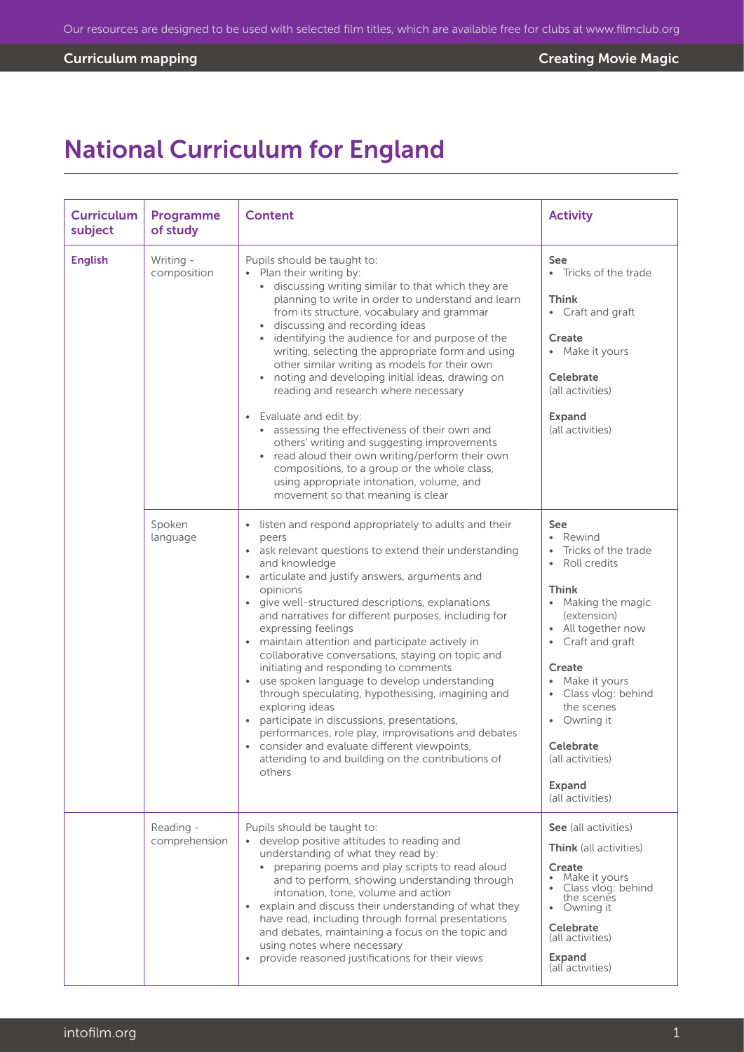# National Curriculum for England

| <b>Curriculum</b><br>subject | Programme<br>of study      | <b>Content</b>                                                                                                                                                                                                                                                                                                                                                                                                                                                                                                                                                                                                                                                                                                                                                                                                                                        | <b>Activity</b>                                                                                                                                                                                                                                                                                                |
|------------------------------|----------------------------|-------------------------------------------------------------------------------------------------------------------------------------------------------------------------------------------------------------------------------------------------------------------------------------------------------------------------------------------------------------------------------------------------------------------------------------------------------------------------------------------------------------------------------------------------------------------------------------------------------------------------------------------------------------------------------------------------------------------------------------------------------------------------------------------------------------------------------------------------------|----------------------------------------------------------------------------------------------------------------------------------------------------------------------------------------------------------------------------------------------------------------------------------------------------------------|
| <b>English</b>               | Writing -<br>composition   | Pupils should be taught to:<br>• Plan their writing by:<br>· discussing writing similar to that which they are<br>planning to write in order to understand and learn<br>from its structure, vocabulary and grammar<br>discussing and recording ideas<br>identifying the audience for and purpose of the<br>writing, selecting the appropriate form and using<br>other similar writing as models for their own<br>noting and developing initial ideas, drawing on<br>reading and research where necessary<br>• Evaluate and edit by:<br>• assessing the effectiveness of their own and<br>others' writing and suggesting improvements<br>• read aloud their own writing/perform their own<br>compositions, to a group or the whole class,<br>using appropriate intonation, volume, and<br>movement so that meaning is clear                            | See<br>• Tricks of the trade<br><b>Think</b><br>• Craft and graft<br>Create<br>• Make it yours<br>Celebrate<br>(all activities)<br><b>Expand</b><br>(all activities)                                                                                                                                           |
|                              | Spoken<br>language         | listen and respond appropriately to adults and their<br>peers<br>ask relevant questions to extend their understanding<br>$\bullet$<br>and knowledge<br>articulate and justify answers, arguments and<br>opinions<br>• give well-structured descriptions, explanations<br>and narratives for different purposes, including for<br>expressing feelings<br>• maintain attention and participate actively in<br>collaborative conversations, staying on topic and<br>initiating and responding to comments<br>• use spoken language to develop understanding<br>through speculating, hypothesising, imagining and<br>exploring ideas<br>participate in discussions, presentations,<br>performances, role play, improvisations and debates<br>• consider and evaluate different viewpoints,<br>attending to and building on the contributions of<br>others | <b>See</b><br>• Rewind<br>Tricks of the trade<br>Roll credits<br><b>Think</b><br>• Making the magic<br>(extension)<br>• All together now<br>• Craft and graft<br>Create<br>• Make it yours<br>• Class vlog: behind<br>the scenes<br>• Owning it<br>Celebrate<br>(all activities)<br>Expand<br>(all activities) |
|                              | Reading -<br>comprehension | Pupils should be taught to:<br>• develop positive attitudes to reading and<br>understanding of what they read by:<br>preparing poems and play scripts to read aloud<br>and to perform, showing understanding through<br>intonation, tone, volume and action<br>• explain and discuss their understanding of what they<br>have read, including through formal presentations<br>and debates, maintaining a focus on the topic and<br>using notes where necessary<br>• provide reasoned justifications for their views                                                                                                                                                                                                                                                                                                                                   | See (all activities)<br><b>Think</b> (all activities)<br>Create<br>Make it yours<br>• Class vlog: behind<br>the scenes<br>• Owning it<br>Celebrate<br>(all activities)<br>Expand<br>(all activities)                                                                                                           |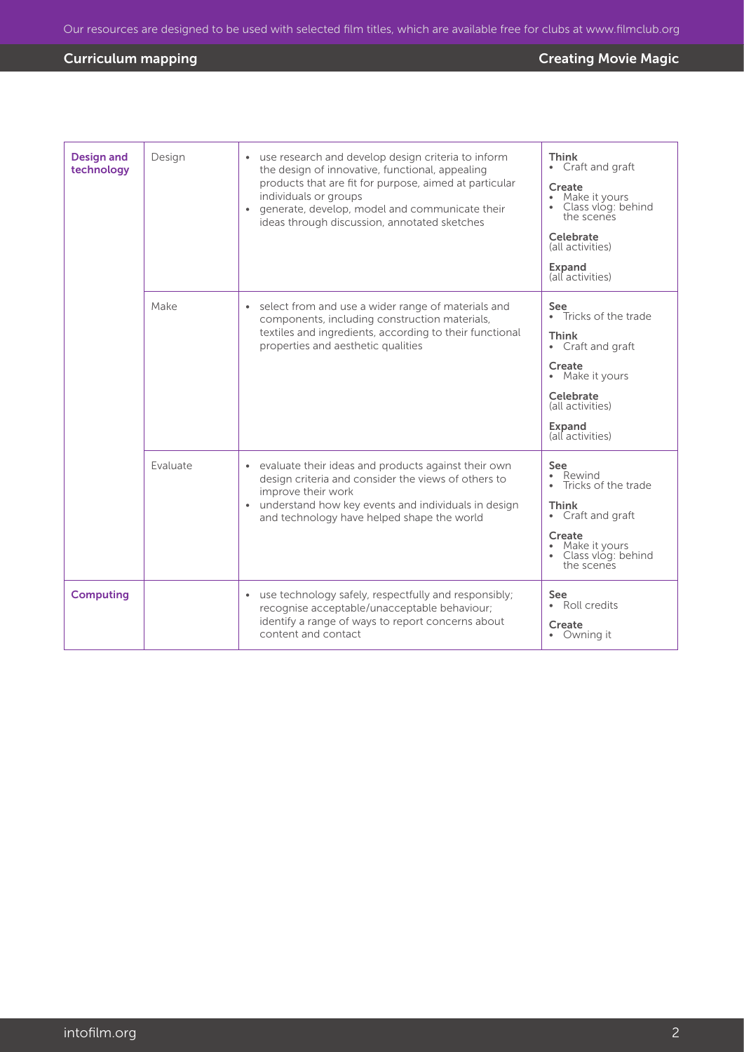| <b>Design and</b><br>technology | Design   | use research and develop design criteria to inform<br>$\bullet$<br>the design of innovative, functional, appealing<br>products that are fit for purpose, aimed at particular<br>individuals or groups<br>generate, develop, model and communicate their<br>ideas through discussion, annotated sketches | Think<br>• Craft and graft<br>Create<br>Make it yours<br>Class vlóg: behind<br>the scenes<br>Celebrate<br>(all activities)<br>Expand<br>(all activities)                 |
|---------------------------------|----------|---------------------------------------------------------------------------------------------------------------------------------------------------------------------------------------------------------------------------------------------------------------------------------------------------------|--------------------------------------------------------------------------------------------------------------------------------------------------------------------------|
|                                 | Make     | select from and use a wider range of materials and<br>$\bullet$<br>components, including construction materials,<br>textiles and ingredients, according to their functional<br>properties and aesthetic qualities                                                                                       | See<br>• Tricks of the trade<br><b>Think</b><br>Craft and graft<br>$\bullet$<br>Create<br>• Make it yours<br>Celebrate<br>(all activities)<br>Expand<br>(all activities) |
|                                 | Evaluate | • evaluate their ideas and products against their own<br>design criteria and consider the views of others to<br>improve their work<br>understand how key events and individuals in design<br>and technology have helped shape the world                                                                 | <b>See</b><br>Rewind<br>$\bullet$<br>Tricks of the trade<br>Think<br>• Craft and graft<br>Create<br>Make it yours<br>Class vlog: behind<br>the scenes                    |
| <b>Computing</b>                |          | use technology safely, respectfully and responsibly;<br>$\bullet$<br>recognise acceptable/unacceptable behaviour;<br>identify a range of ways to report concerns about<br>content and contact                                                                                                           | See<br>• Roll credits<br>Create<br>• Owning it                                                                                                                           |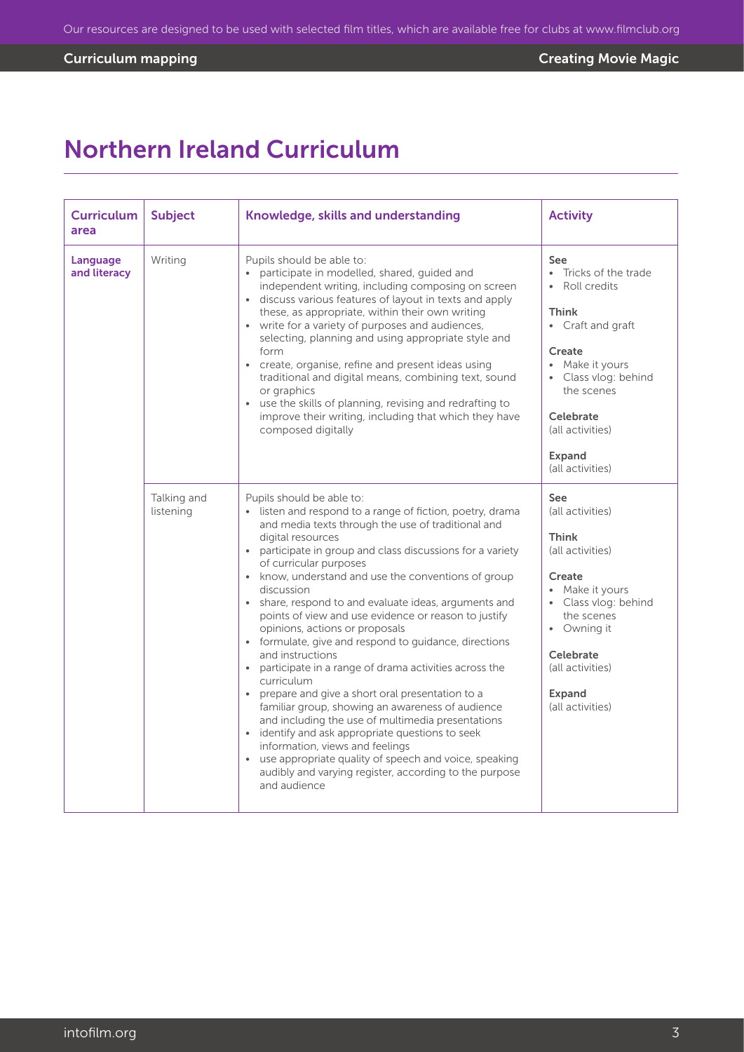## Northern Ireland Curriculum

| <b>Curriculum</b><br>area | <b>Subject</b>           | Knowledge, skills and understanding                                                                                                                                                                                                                                                                                                                                                                                                                                                                                                                                                                                                                                                                                                                                                                                                                                                                                                                                                                                               | <b>Activity</b>                                                                                                                                                                                                       |
|---------------------------|--------------------------|-----------------------------------------------------------------------------------------------------------------------------------------------------------------------------------------------------------------------------------------------------------------------------------------------------------------------------------------------------------------------------------------------------------------------------------------------------------------------------------------------------------------------------------------------------------------------------------------------------------------------------------------------------------------------------------------------------------------------------------------------------------------------------------------------------------------------------------------------------------------------------------------------------------------------------------------------------------------------------------------------------------------------------------|-----------------------------------------------------------------------------------------------------------------------------------------------------------------------------------------------------------------------|
| Language<br>and literacy  | Writing                  | Pupils should be able to:<br>• participate in modelled, shared, guided and<br>independent writing, including composing on screen<br>· discuss various features of layout in texts and apply<br>these, as appropriate, within their own writing<br>• write for a variety of purposes and audiences,<br>selecting, planning and using appropriate style and<br>form<br>• create, organise, refine and present ideas using<br>traditional and digital means, combining text, sound<br>or graphics<br>• use the skills of planning, revising and redrafting to<br>improve their writing, including that which they have<br>composed digitally                                                                                                                                                                                                                                                                                                                                                                                         | See<br>• Tricks of the trade<br>• Roll credits<br><b>Think</b><br>• Craft and graft<br>Create<br>• Make it yours<br>· Class vlog: behind<br>the scenes<br>Celebrate<br>(all activities)<br>Expand<br>(all activities) |
|                           | Talking and<br>listening | Pupils should be able to:<br>• listen and respond to a range of fiction, poetry, drama<br>and media texts through the use of traditional and<br>digital resources<br>• participate in group and class discussions for a variety<br>of curricular purposes<br>• know, understand and use the conventions of group<br>discussion<br>• share, respond to and evaluate ideas, arguments and<br>points of view and use evidence or reason to justify<br>opinions, actions or proposals<br>• formulate, give and respond to guidance, directions<br>and instructions<br>• participate in a range of drama activities across the<br>curriculum<br>• prepare and give a short oral presentation to a<br>familiar group, showing an awareness of audience<br>and including the use of multimedia presentations<br>• identify and ask appropriate questions to seek<br>information, views and feelings<br>• use appropriate quality of speech and voice, speaking<br>audibly and varying register, according to the purpose<br>and audience | See<br>(all activities)<br><b>Think</b><br>(all activities)<br>Create<br>• Make it yours<br>• Class vlog: behind<br>the scenes<br>• Owning it<br><b>Celebrate</b><br>(all activities)<br>Expand<br>(all activities)   |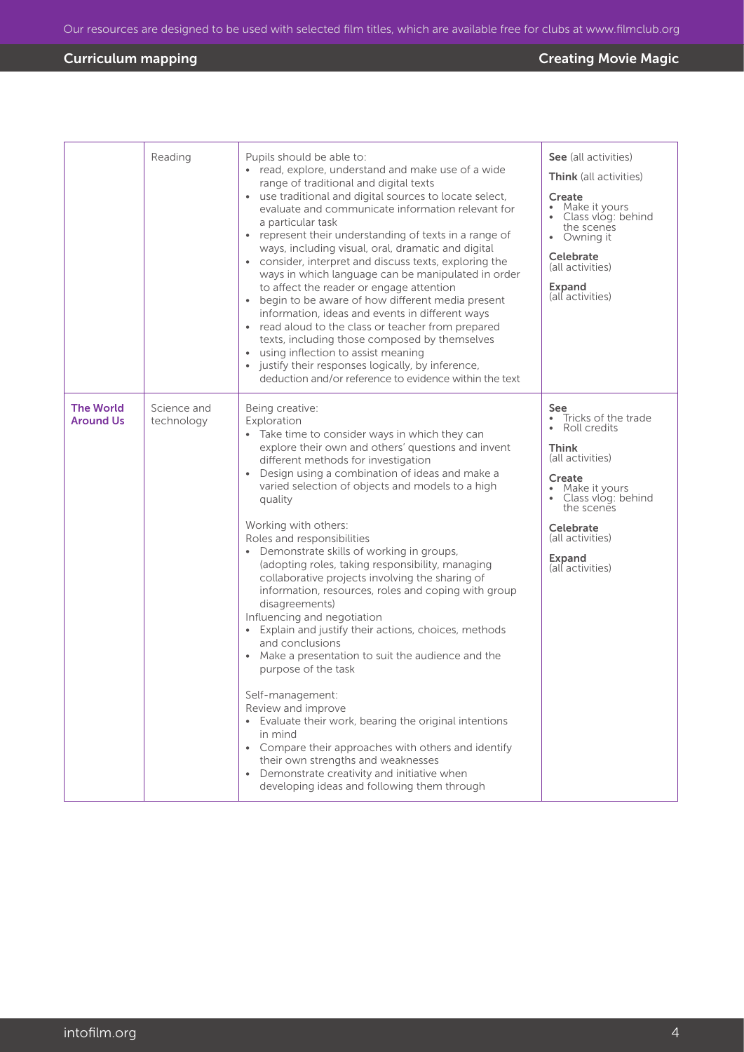|                                      | Reading                   | Pupils should be able to:<br>• read, explore, understand and make use of a wide<br>range of traditional and digital texts<br>• use traditional and digital sources to locate select,<br>evaluate and communicate information relevant for<br>a particular task<br>• represent their understanding of texts in a range of<br>ways, including visual, oral, dramatic and digital<br>• consider, interpret and discuss texts, exploring the<br>ways in which language can be manipulated in order<br>to affect the reader or engage attention<br>begin to be aware of how different media present<br>information, ideas and events in different ways<br>• read aloud to the class or teacher from prepared<br>texts, including those composed by themselves<br>using inflection to assist meaning<br>$\bullet$<br>justify their responses logically, by inference,<br>deduction and/or reference to evidence within the text                                                                                                                                                                    | See (all activities)<br><b>Think</b> (all activities)<br>Create<br>Make it yours<br>Class vlog: behind<br>the scenes<br>• Owning it<br><b>Celebrate</b><br>(all activities)<br>Expand<br>(all activities)                               |
|--------------------------------------|---------------------------|----------------------------------------------------------------------------------------------------------------------------------------------------------------------------------------------------------------------------------------------------------------------------------------------------------------------------------------------------------------------------------------------------------------------------------------------------------------------------------------------------------------------------------------------------------------------------------------------------------------------------------------------------------------------------------------------------------------------------------------------------------------------------------------------------------------------------------------------------------------------------------------------------------------------------------------------------------------------------------------------------------------------------------------------------------------------------------------------|-----------------------------------------------------------------------------------------------------------------------------------------------------------------------------------------------------------------------------------------|
| <b>The World</b><br><b>Around Us</b> | Science and<br>technology | Being creative:<br>Exploration<br>• Take time to consider ways in which they can<br>explore their own and others' questions and invent<br>different methods for investigation<br>Design using a combination of ideas and make a<br>varied selection of objects and models to a high<br>quality<br>Working with others:<br>Roles and responsibilities<br>• Demonstrate skills of working in groups,<br>(adopting roles, taking responsibility, managing<br>collaborative projects involving the sharing of<br>information, resources, roles and coping with group<br>disagreements)<br>Influencing and negotiation<br>Explain and justify their actions, choices, methods<br>and conclusions<br>Make a presentation to suit the audience and the<br>$\bullet$<br>purpose of the task<br>Self-management:<br>Review and improve<br>• Evaluate their work, bearing the original intentions<br>in mind<br>• Compare their approaches with others and identify<br>their own strengths and weaknesses<br>Demonstrate creativity and initiative when<br>developing ideas and following them through | See<br>Tricks of the trade<br>$\bullet$<br>Roll credits<br><b>Think</b><br>(all activities)<br>Create<br>Make it yours<br>Class vlog: behind<br>the scenes<br><b>Celebrate</b><br>(all activities)<br><b>Expand</b><br>(all activities) |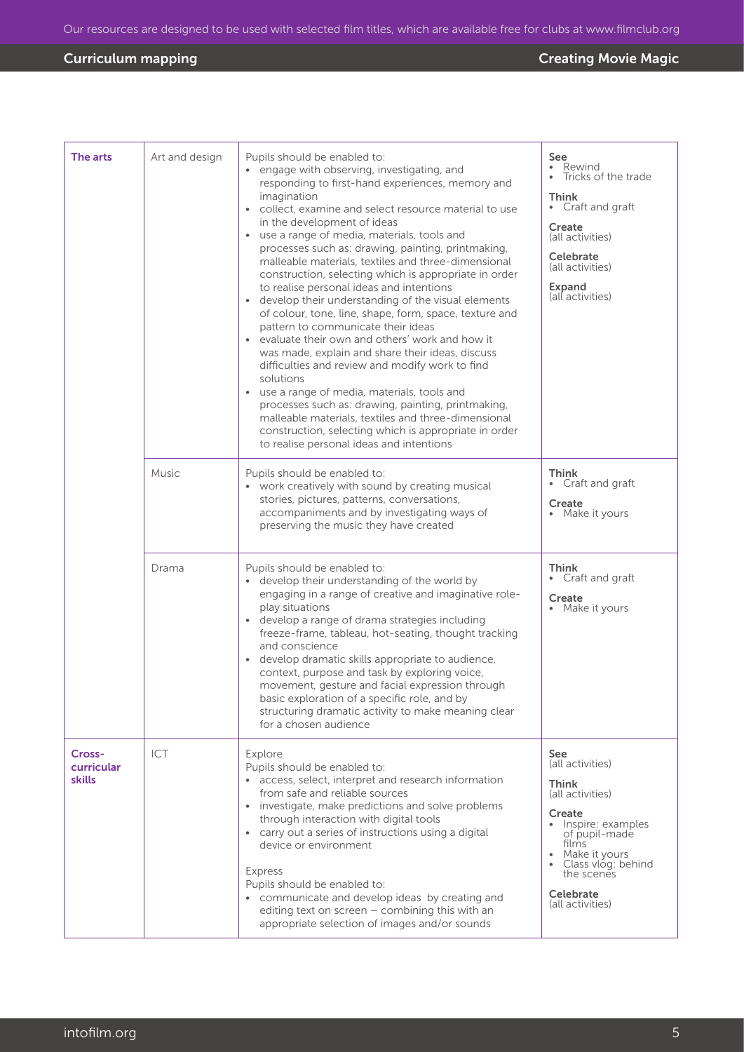| The arts                       | Art and design | Pupils should be enabled to:<br>engage with observing, investigating, and<br>responding to first-hand experiences, memory and<br>imagination<br>• collect, examine and select resource material to use<br>in the development of ideas<br>• use a range of media, materials, tools and<br>processes such as: drawing, painting, printmaking,<br>malleable materials, textiles and three-dimensional<br>construction, selecting which is appropriate in order<br>to realise personal ideas and intentions<br>• develop their understanding of the visual elements<br>of colour, tone, line, shape, form, space, texture and<br>pattern to communicate their ideas<br>• evaluate their own and others' work and how it<br>was made, explain and share their ideas, discuss<br>difficulties and review and modify work to find<br>solutions<br>use a range of media, materials, tools and<br>$\bullet$<br>processes such as: drawing, painting, printmaking,<br>malleable materials, textiles and three-dimensional<br>construction, selecting which is appropriate in order<br>to realise personal ideas and intentions | See<br>Rewind<br>Tricks of the trade<br>Think<br>• Craft and graft<br>Create<br>(all activities)<br>Celebrate<br>(all activities)<br>Expand<br>(all activities)                                                         |
|--------------------------------|----------------|----------------------------------------------------------------------------------------------------------------------------------------------------------------------------------------------------------------------------------------------------------------------------------------------------------------------------------------------------------------------------------------------------------------------------------------------------------------------------------------------------------------------------------------------------------------------------------------------------------------------------------------------------------------------------------------------------------------------------------------------------------------------------------------------------------------------------------------------------------------------------------------------------------------------------------------------------------------------------------------------------------------------------------------------------------------------------------------------------------------------|-------------------------------------------------------------------------------------------------------------------------------------------------------------------------------------------------------------------------|
|                                | Music          | Pupils should be enabled to:<br>• work creatively with sound by creating musical<br>stories, pictures, patterns, conversations,<br>accompaniments and by investigating ways of<br>preserving the music they have created                                                                                                                                                                                                                                                                                                                                                                                                                                                                                                                                                                                                                                                                                                                                                                                                                                                                                             | Think<br>Craft and graft<br>Create<br>Make it yours                                                                                                                                                                     |
|                                | Drama          | Pupils should be enabled to:<br>• develop their understanding of the world by<br>engaging in a range of creative and imaginative role-<br>play situations<br>• develop a range of drama strategies including<br>freeze-frame, tableau, hot-seating, thought tracking<br>and conscience<br>develop dramatic skills appropriate to audience,<br>$\bullet$<br>context, purpose and task by exploring voice,<br>movement, gesture and facial expression through<br>basic exploration of a specific role, and by<br>structuring dramatic activity to make meaning clear<br>for a chosen audience                                                                                                                                                                                                                                                                                                                                                                                                                                                                                                                          | Think<br>Craft and graft<br>Create<br>• Make it yours                                                                                                                                                                   |
| Cross-<br>curricular<br>skills | ICT            | Explore<br>Pupils should be enabled to:<br>• access, select, interpret and research information<br>from safe and reliable sources<br>• investigate, make predictions and solve problems<br>through interaction with digital tools<br>• carry out a series of instructions using a digital<br>device or environment<br><b>Express</b><br>Pupils should be enabled to:<br>• communicate and develop ideas by creating and<br>editing text on screen - combining this with an<br>appropriate selection of images and/or sounds                                                                                                                                                                                                                                                                                                                                                                                                                                                                                                                                                                                          | <b>See</b><br>(all activities)<br><b>Think</b><br>(all activities)<br>Create<br>• Inspire: examples<br>of pupil-made<br>films<br>• Make it yours<br>• Class vlog: behind<br>the scenes<br>Celebrate<br>(all activities) |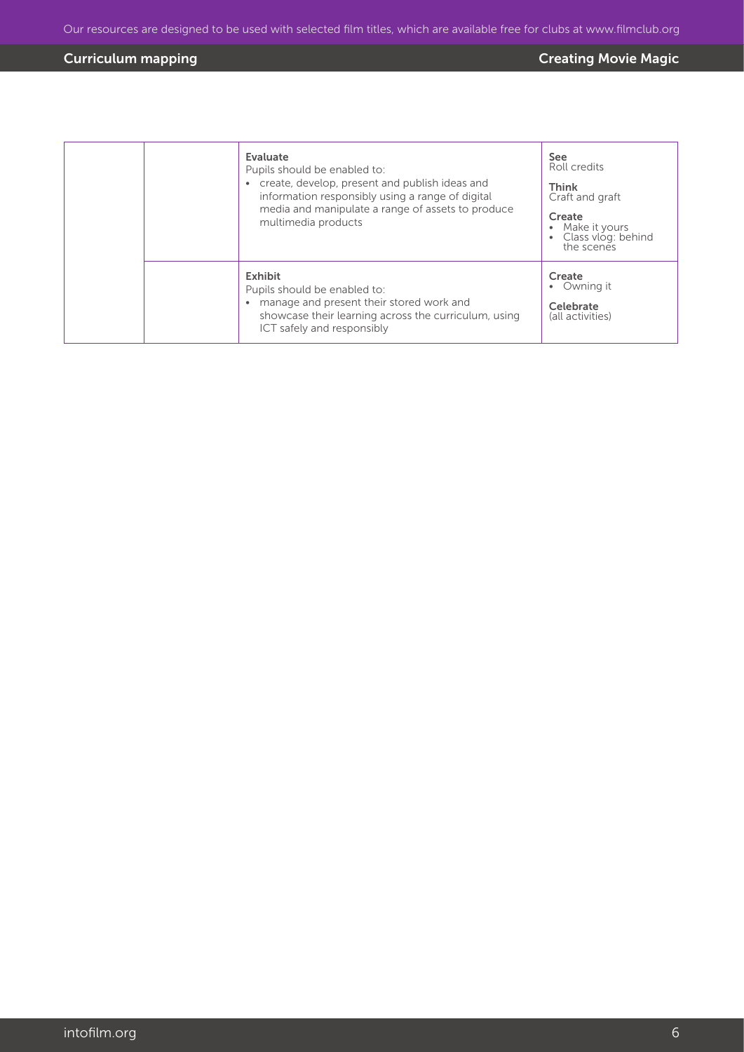|  | Evaluate<br>Pupils should be enabled to:<br>create, develop, present and publish ideas and<br>information responsibly using a range of digital<br>media and manipulate a range of assets to produce<br>multimedia products | See<br>Roll credits<br><b>Think</b><br>Craft and graft<br>Create<br>Make it yours<br>• Class vlog: behind<br>the scenes |
|--|----------------------------------------------------------------------------------------------------------------------------------------------------------------------------------------------------------------------------|-------------------------------------------------------------------------------------------------------------------------|
|  | <b>Exhibit</b><br>Pupils should be enabled to:<br>manage and present their stored work and<br>$\bullet$<br>showcase their learning across the curriculum, using<br>ICT safely and responsibly                              | Create<br>• Owning it<br>Celebrate<br>(all activities)                                                                  |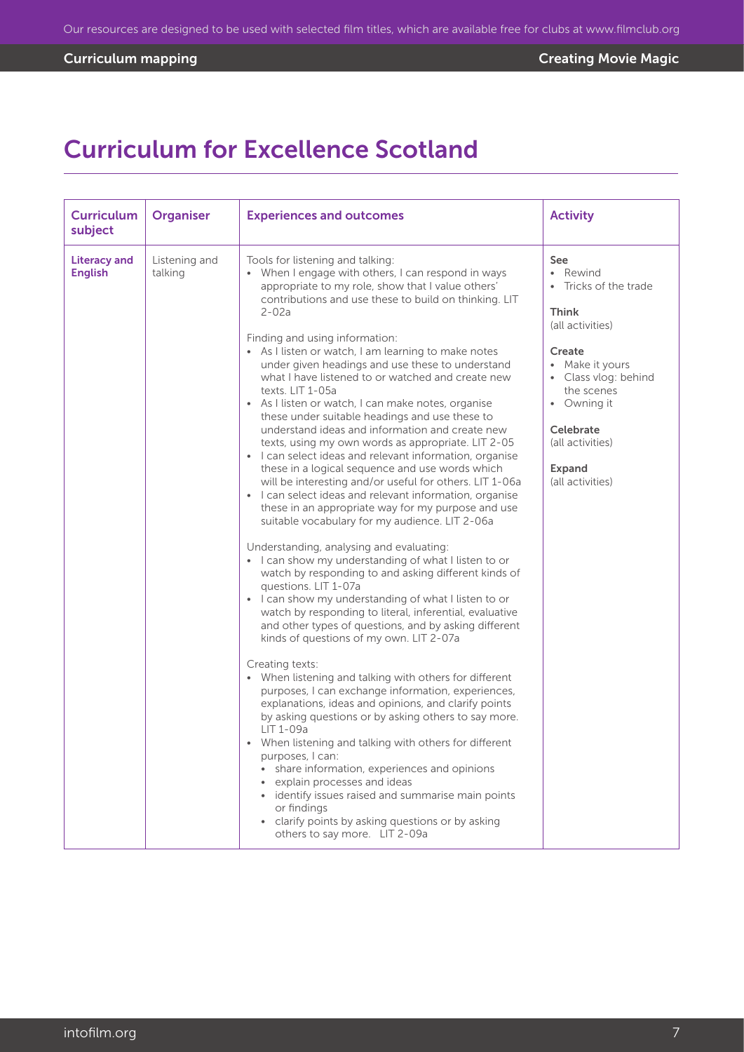# Curriculum for Excellence Scotland

| <b>Curriculum</b><br>subject          | <b>Organiser</b>         | <b>Experiences and outcomes</b>                                                                                                                                                                                                                                                                                                                                                                                                                                                                                                                                                                                                                                                                                                                                                                                                                                                                                                                                                                                                                                                                                                                                                                                                                                                                                                                                                                                                                                                                                                                                                                                                                                                                                                                                                                                                                                                                                                                                                                        | <b>Activity</b>                                                                                                                                                                                                                      |
|---------------------------------------|--------------------------|--------------------------------------------------------------------------------------------------------------------------------------------------------------------------------------------------------------------------------------------------------------------------------------------------------------------------------------------------------------------------------------------------------------------------------------------------------------------------------------------------------------------------------------------------------------------------------------------------------------------------------------------------------------------------------------------------------------------------------------------------------------------------------------------------------------------------------------------------------------------------------------------------------------------------------------------------------------------------------------------------------------------------------------------------------------------------------------------------------------------------------------------------------------------------------------------------------------------------------------------------------------------------------------------------------------------------------------------------------------------------------------------------------------------------------------------------------------------------------------------------------------------------------------------------------------------------------------------------------------------------------------------------------------------------------------------------------------------------------------------------------------------------------------------------------------------------------------------------------------------------------------------------------------------------------------------------------------------------------------------------------|--------------------------------------------------------------------------------------------------------------------------------------------------------------------------------------------------------------------------------------|
| <b>Literacy and</b><br><b>English</b> | Listening and<br>talking | Tools for listening and talking:<br>When I engage with others, I can respond in ways<br>appropriate to my role, show that I value others'<br>contributions and use these to build on thinking. LIT<br>$2 - 02a$<br>Finding and using information:<br>• As I listen or watch, I am learning to make notes<br>under given headings and use these to understand<br>what I have listened to or watched and create new<br>texts. LIT 1-05a<br>• As I listen or watch, I can make notes, organise<br>these under suitable headings and use these to<br>understand ideas and information and create new<br>texts, using my own words as appropriate. LIT 2-05<br>• I can select ideas and relevant information, organise<br>these in a logical sequence and use words which<br>will be interesting and/or useful for others. LIT 1-06a<br>• I can select ideas and relevant information, organise<br>these in an appropriate way for my purpose and use<br>suitable vocabulary for my audience. LIT 2-06a<br>Understanding, analysing and evaluating:<br>• I can show my understanding of what I listen to or<br>watch by responding to and asking different kinds of<br>questions. LIT 1-07a<br>• I can show my understanding of what I listen to or<br>watch by responding to literal, inferential, evaluative<br>and other types of questions, and by asking different<br>kinds of questions of my own. LIT 2-07a<br>Creating texts:<br>• When listening and talking with others for different<br>purposes, I can exchange information, experiences,<br>explanations, ideas and opinions, and clarify points<br>by asking questions or by asking others to say more.<br>LIT 1-09a<br>• When listening and talking with others for different<br>purposes, I can:<br>• share information, experiences and opinions<br>explain processes and ideas<br>· identify issues raised and summarise main points<br>or findings<br>• clarify points by asking questions or by asking<br>others to say more. LIT 2-09a | <b>See</b><br>• Rewind<br>• Tricks of the trade<br><b>Think</b><br>(all activities)<br>Create<br>• Make it yours<br>• Class vlog: behind<br>the scenes<br>• Owning it<br>Celebrate<br>(all activities)<br>Expand<br>(all activities) |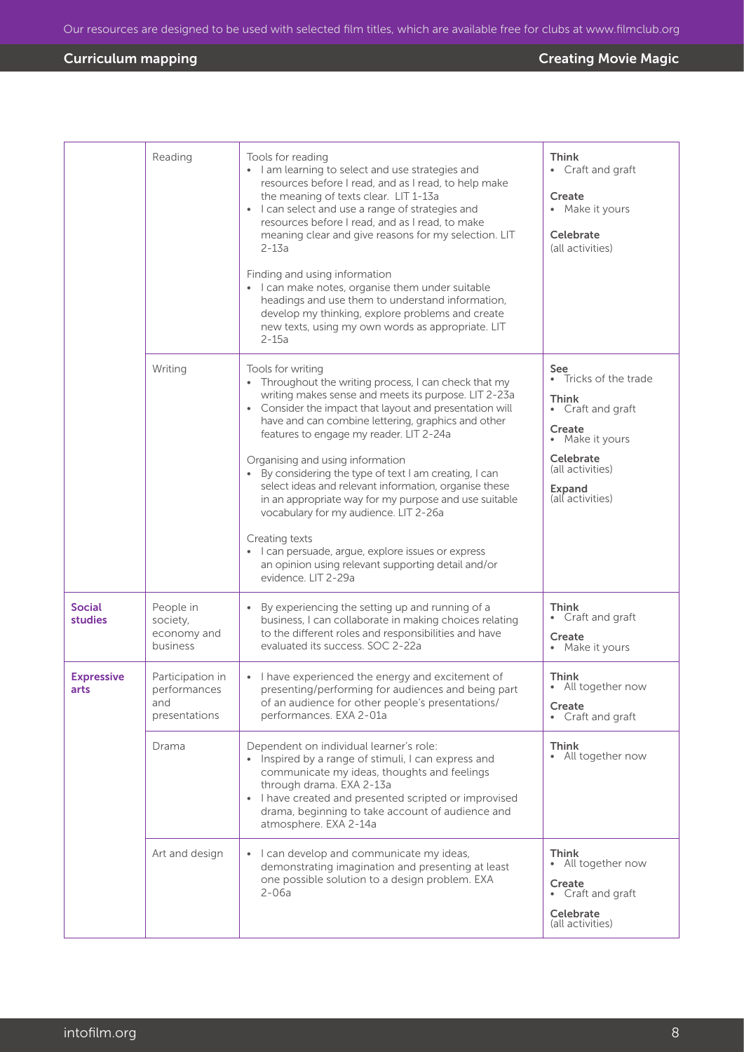|                                 | Reading                                                  | Tools for reading<br>• I am learning to select and use strategies and<br>resources before I read, and as I read, to help make<br>the meaning of texts clear. LIT 1-13a<br>• I can select and use a range of strategies and<br>resources before I read, and as I read, to make<br>meaning clear and give reasons for my selection. LIT<br>$2 - 13a$<br>Finding and using information<br>• I can make notes, organise them under suitable<br>headings and use them to understand information,<br>develop my thinking, explore problems and create<br>new texts, using my own words as appropriate. LIT<br>$2-15a$                                                                                            | Think<br>• Craft and graft<br>Create<br>• Make it yours<br>Celebrate<br>(all activities)                                                                             |
|---------------------------------|----------------------------------------------------------|------------------------------------------------------------------------------------------------------------------------------------------------------------------------------------------------------------------------------------------------------------------------------------------------------------------------------------------------------------------------------------------------------------------------------------------------------------------------------------------------------------------------------------------------------------------------------------------------------------------------------------------------------------------------------------------------------------|----------------------------------------------------------------------------------------------------------------------------------------------------------------------|
|                                 | Writing                                                  | Tools for writing<br>• Throughout the writing process, I can check that my<br>writing makes sense and meets its purpose. LIT 2-23a<br>Consider the impact that layout and presentation will<br>have and can combine lettering, graphics and other<br>features to engage my reader. LIT 2-24a<br>Organising and using information<br>• By considering the type of text I am creating, I can<br>select ideas and relevant information, organise these<br>in an appropriate way for my purpose and use suitable<br>vocabulary for my audience. LIT 2-26a<br>Creating texts<br>• I can persuade, argue, explore issues or express<br>an opinion using relevant supporting detail and/or<br>evidence. LIT 2-29a | See<br>• Tricks of the trade<br><b>Think</b><br>• Craft and graft<br>Create<br>• Make it yours<br>Celebrate<br>(all activities)<br><b>Expand</b><br>(all activities) |
| <b>Social</b><br><b>studies</b> | People in<br>society,<br>economy and<br>business         | By experiencing the setting up and running of a<br>$\bullet$<br>business, I can collaborate in making choices relating<br>to the different roles and responsibilities and have<br>evaluated its success. SOC 2-22a                                                                                                                                                                                                                                                                                                                                                                                                                                                                                         | Think<br>Craft and graft<br>Create<br>Make it yours                                                                                                                  |
| <b>Expressive</b><br>arts       | Participation in<br>performances<br>and<br>presentations | I have experienced the energy and excitement of<br>presenting/performing for audiences and being part<br>of an audience for other people's presentations/<br>performances. EXA 2-01a                                                                                                                                                                                                                                                                                                                                                                                                                                                                                                                       | <b>Think</b><br>• All together now<br>Create<br>• Craft and graft                                                                                                    |
|                                 | Drama                                                    | Dependent on individual learner's role:<br>• Inspired by a range of stimuli, I can express and<br>communicate my ideas, thoughts and feelings<br>through drama. EXA 2-13a<br>• I have created and presented scripted or improvised<br>drama, beginning to take account of audience and<br>atmosphere. EXA 2-14a                                                                                                                                                                                                                                                                                                                                                                                            | Think<br>• All together now                                                                                                                                          |
|                                 | Art and design                                           | • I can develop and communicate my ideas,<br>demonstrating imagination and presenting at least<br>one possible solution to a design problem. EXA<br>2-06a                                                                                                                                                                                                                                                                                                                                                                                                                                                                                                                                                  | Think<br>• All together now<br>Create<br>• Craft and graft<br>Celebrate<br>(all activities)                                                                          |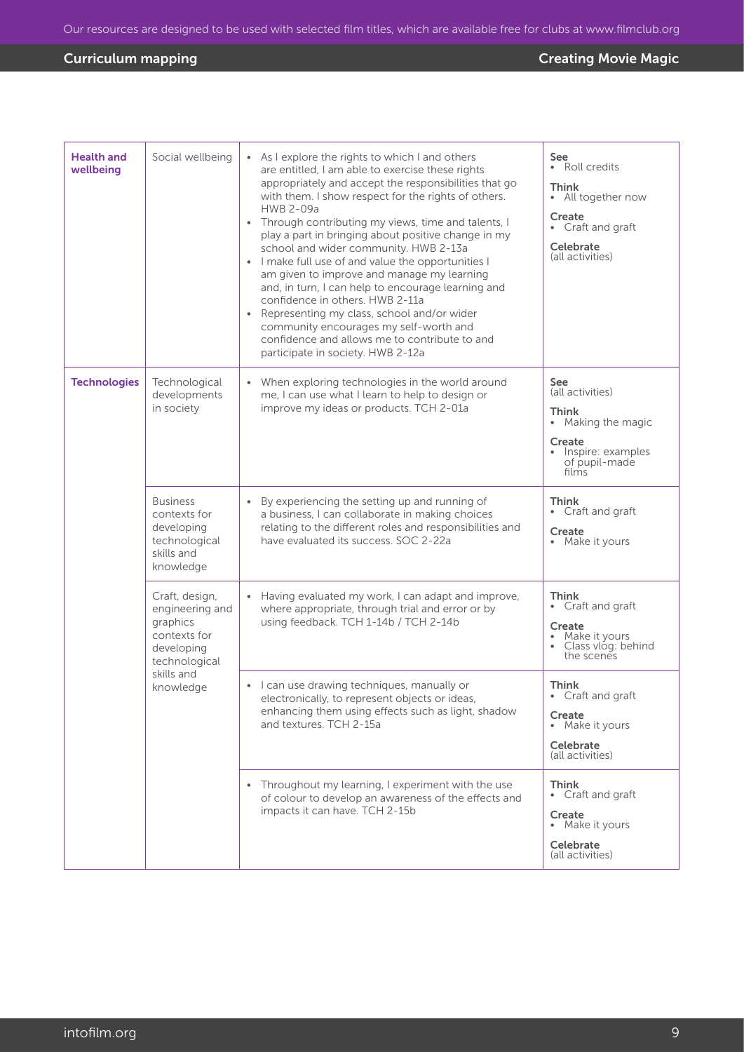| <b>Health and</b><br>wellbeing | Social wellbeing                                                                                                        | • As I explore the rights to which I and others<br>are entitled, I am able to exercise these rights<br>appropriately and accept the responsibilities that go<br>with them. I show respect for the rights of others.<br>HWB 2-09a<br>Through contributing my views, time and talents, I<br>play a part in bringing about positive change in my<br>school and wider community. HWB 2-13a<br>• I make full use of and value the opportunities I<br>am given to improve and manage my learning<br>and, in turn, I can help to encourage learning and<br>confidence in others. HWB 2-11a<br>Representing my class, school and/or wider<br>community encourages my self-worth and<br>confidence and allows me to contribute to and<br>participate in society. HWB 2-12a | <b>See</b><br>• Roll credits<br><b>Think</b><br>• All together now<br>Create<br>• Craft and graft<br>Celebrate<br>(all activities)       |
|--------------------------------|-------------------------------------------------------------------------------------------------------------------------|-------------------------------------------------------------------------------------------------------------------------------------------------------------------------------------------------------------------------------------------------------------------------------------------------------------------------------------------------------------------------------------------------------------------------------------------------------------------------------------------------------------------------------------------------------------------------------------------------------------------------------------------------------------------------------------------------------------------------------------------------------------------|------------------------------------------------------------------------------------------------------------------------------------------|
| <b>Technologies</b>            | Technological<br>developments<br>in society                                                                             | • When exploring technologies in the world around<br>me, I can use what I learn to help to design or<br>improve my ideas or products. TCH 2-01a                                                                                                                                                                                                                                                                                                                                                                                                                                                                                                                                                                                                                   | <b>See</b><br>(all activities)<br><b>Think</b><br>Making the magic<br>$\bullet$<br>Create<br>Inspire: examples<br>of pupil-made<br>films |
|                                | <b>Business</b><br>contexts for<br>developing<br>technological<br>skills and<br>knowledge                               | By experiencing the setting up and running of<br>a business, I can collaborate in making choices<br>relating to the different roles and responsibilities and<br>have evaluated its success. SOC 2-22a                                                                                                                                                                                                                                                                                                                                                                                                                                                                                                                                                             | Think<br>• Craft and graft<br>Create<br>• Make it yours                                                                                  |
|                                | Craft, design,<br>engineering and<br>graphics<br>contexts for<br>developing<br>technological<br>skills and<br>knowledge | Having evaluated my work, I can adapt and improve,<br>where appropriate, through trial and error or by<br>using feedback. TCH 1-14b / TCH 2-14b                                                                                                                                                                                                                                                                                                                                                                                                                                                                                                                                                                                                                   | <b>Think</b><br>Craft and graft<br>Create<br>Make it yours<br>Class vlog: behind<br>the scenes                                           |
|                                |                                                                                                                         | • I can use drawing techniques, manually or<br>electronically, to represent objects or ideas,<br>enhancing them using effects such as light, shadow<br>and textures. TCH 2-15a                                                                                                                                                                                                                                                                                                                                                                                                                                                                                                                                                                                    | <b>Think</b><br>• Craft and graft<br>Create<br>• Make it yours<br>Celebrate<br>(all activities)                                          |
|                                |                                                                                                                         | Throughout my learning, I experiment with the use<br>of colour to develop an awareness of the effects and<br>impacts it can have. TCH 2-15b                                                                                                                                                                                                                                                                                                                                                                                                                                                                                                                                                                                                                       | <b>Think</b><br>• Craft and graft<br>Create<br>• Make it yours<br>Celebrate<br>(all activities)                                          |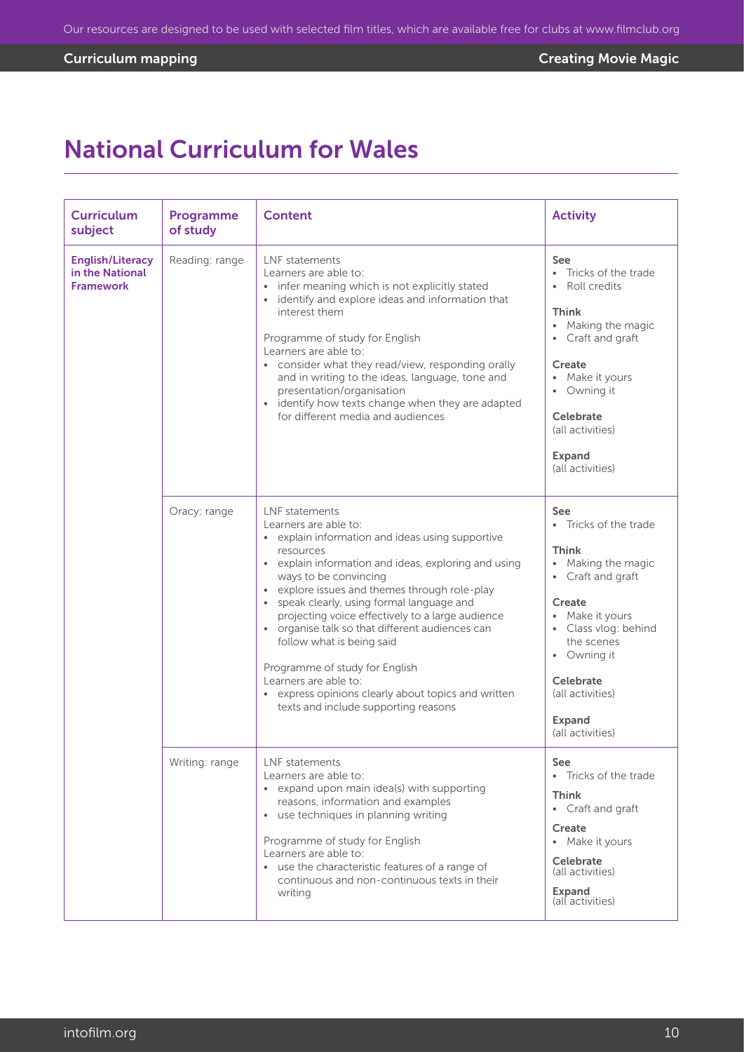## National Curriculum for Wales

| <b>Curriculum</b><br>subject                                   | Programme<br>of study | <b>Content</b>                                                                                                                                                                                                                                                                                                                                                                                                                                                                                                                                                                   | <b>Activity</b>                                                                                                                                                                                                                                                       |
|----------------------------------------------------------------|-----------------------|----------------------------------------------------------------------------------------------------------------------------------------------------------------------------------------------------------------------------------------------------------------------------------------------------------------------------------------------------------------------------------------------------------------------------------------------------------------------------------------------------------------------------------------------------------------------------------|-----------------------------------------------------------------------------------------------------------------------------------------------------------------------------------------------------------------------------------------------------------------------|
| <b>English/Literacy</b><br>in the National<br><b>Framework</b> | Reading: range        | I NF statements<br>Learners are able to:<br>• infer meaning which is not explicitly stated<br>identify and explore ideas and information that<br>interest them<br>Programme of study for English<br>Learners are able to:<br>• consider what they read/view, responding orally<br>and in writing to the ideas, language, tone and<br>presentation/organisation<br>identify how texts change when they are adapted<br>for different media and audiences                                                                                                                           | See<br>Tricks of the trade<br>$\bullet$<br>Roll credits<br><b>Think</b><br>• Making the magic<br>Craft and graft<br>Create<br>Make it yours<br>$\bullet$<br>Owning it<br>Celebrate<br>(all activities)<br>Expand<br>(all activities)                                  |
|                                                                | Oracy: range          | LNF statements<br>Learners are able to:<br>• explain information and ideas using supportive<br>resources<br>• explain information and ideas, exploring and using<br>ways to be convincing<br>explore issues and themes through role-play<br>speak clearly, using formal language and<br>projecting voice effectively to a large audience<br>organise talk so that different audiences can<br>follow what is being said<br>Programme of study for English<br>Learners are able to:<br>• express opinions clearly about topics and written<br>texts and include supporting reasons | See<br>Tricks of the trade<br>$\bullet$<br><b>Think</b><br>Making the magic<br>$\bullet$<br>Craft and graft<br>$\bullet$<br>Create<br>Make it yours<br>Class vlog: behind<br>the scenes<br>• Owning it<br>Celebrate<br>(all activities)<br>Expand<br>(all activities) |
|                                                                | Writing: range        | LNF statements<br>Learners are able to:<br>• expand upon main idea(s) with supporting<br>reasons, information and examples<br>• use techniques in planning writing<br>Programme of study for English<br>Learners are able to:<br>• use the characteristic features of a range of<br>continuous and non-continuous texts in their<br>writing                                                                                                                                                                                                                                      | See<br>• Tricks of the trade<br><b>Think</b><br>Craft and graft<br>$\bullet$<br>Create<br>• Make it yours<br><b>Celebrate</b><br>(all activities)<br>Expand<br>(all activities)                                                                                       |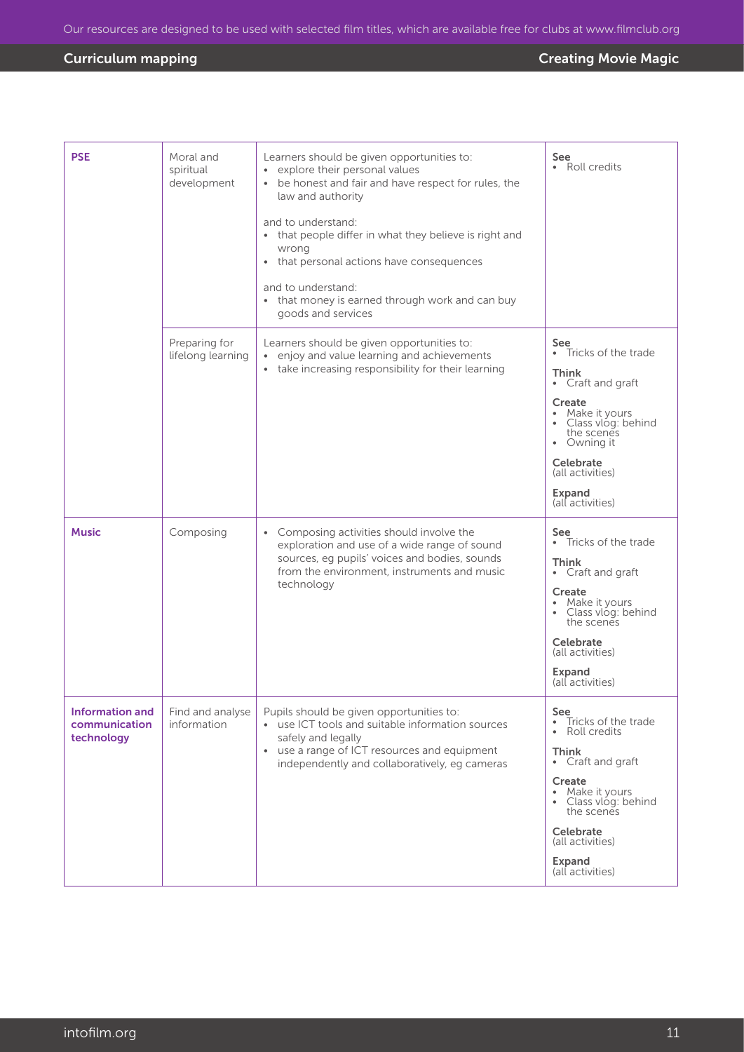| <b>PSE</b>                                            | Moral and<br>spiritual<br>development | Learners should be given opportunities to:<br>explore their personal values<br>$\bullet$<br>be honest and fair and have respect for rules, the<br>$\bullet$<br>law and authority<br>and to understand:<br>that people differ in what they believe is right and<br>wrong<br>• that personal actions have consequences<br>and to understand:<br>• that money is earned through work and can buy<br>goods and services | See<br>• Roll credits                                                                                                                                                                                                                       |
|-------------------------------------------------------|---------------------------------------|---------------------------------------------------------------------------------------------------------------------------------------------------------------------------------------------------------------------------------------------------------------------------------------------------------------------------------------------------------------------------------------------------------------------|---------------------------------------------------------------------------------------------------------------------------------------------------------------------------------------------------------------------------------------------|
|                                                       | Preparing for<br>lifelong learning    | Learners should be given opportunities to:<br>enjoy and value learning and achievements<br>$\bullet$<br>take increasing responsibility for their learning<br>$\bullet$                                                                                                                                                                                                                                              | See<br>Tricks of the trade<br>$\bullet$<br>Think<br>Craft and graft<br>$\bullet$<br>Create<br>Make it yours<br>Class vlóg: behind<br>the scenes<br>• Owning it<br>Celebrate<br>(all activities)<br>Expand<br>(all activities)               |
| <b>Music</b>                                          | Composing                             | Composing activities should involve the<br>$\bullet$<br>exploration and use of a wide range of sound<br>sources, eg pupils' voices and bodies, sounds<br>from the environment, instruments and music<br>technology                                                                                                                                                                                                  | See<br>• Tricks of the trade<br><b>Think</b><br>Craft and graft<br>$\bullet$<br>Create<br>Make it yours<br>Class vlóg: behind<br>the scenes<br>Celebrate<br>(all activities)<br>Expand<br>(all activities)                                  |
| <b>Information and</b><br>communication<br>technology | Find and analyse<br>information       | Pupils should be given opportunities to:<br>• use ICT tools and suitable information sources<br>safely and legally<br>• use a range of ICT resources and equipment<br>independently and collaboratively, eg cameras                                                                                                                                                                                                 | See<br>Tricks of the trade<br>$\bullet$<br>Roll credits<br>$\bullet$<br><b>Think</b><br>• Craft and graft<br>Create<br>• Make it yours<br>• Class vlog: behind<br>the scenes<br>Celebrate<br>(all activities)<br>Expand<br>(all activities) |